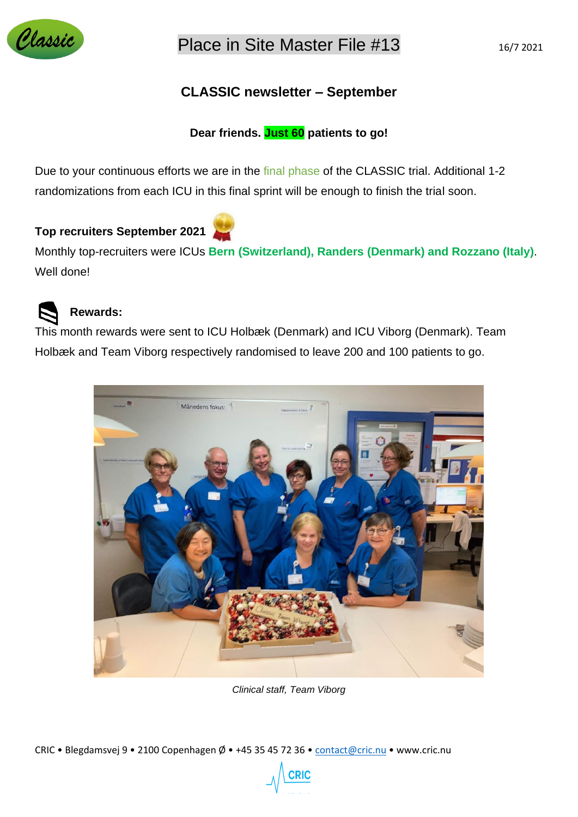

# **CLASSIC newsletter – September**

### **Dear friends. Just 60 patients to go!**

Due to your continuous efforts we are in the final phase of the CLASSIC trial. Additional 1-2 randomizations from each ICU in this final sprint will be enough to finish the trial soon.

## **Top recruiters September 2021**

Monthly top-recruiters were ICUs **Bern (Switzerland), Randers (Denmark) and Rozzano (Italy)**. Well done!



### **Rewards:**

This month rewards were sent to ICU Holbæk (Denmark) and ICU Viborg (Denmark). Team Holbæk and Team Viborg respectively randomised to leave 200 and 100 patients to go.



*Clinical staff, Team Viborg*